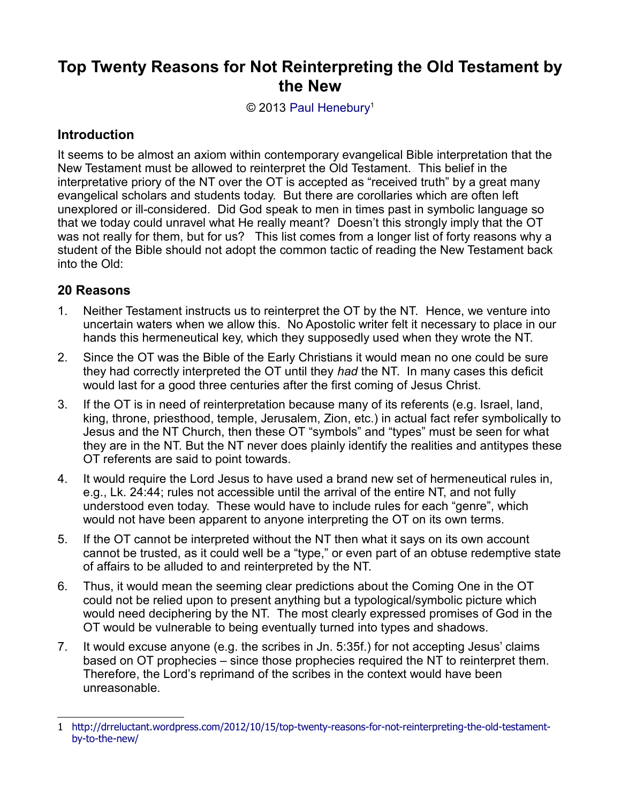## **Top Twenty Reasons for Not Reinterpreting the Old Testament by the New**

© 2013 [Paul Henebury](http://www.spiritandtruth.org/id/ph.htm)<sup>[1](#page-0-0)</sup>

## **Introduction**

It seems to be almost an axiom within contemporary evangelical Bible interpretation that the New Testament must be allowed to reinterpret the Old Testament. This belief in the interpretative priory of the NT over the OT is accepted as "received truth" by a great many evangelical scholars and students today. But there are corollaries which are often left unexplored or ill-considered. Did God speak to men in times past in symbolic language so that we today could unravel what He really meant? Doesn't this strongly imply that the OT was not really for them, but for us? This list comes from a longer list of forty reasons why a student of the Bible should not adopt the common tactic of reading the New Testament back into the Old:

## **20 Reasons**

- 1. Neither Testament instructs us to reinterpret the OT by the NT. Hence, we venture into uncertain waters when we allow this. No Apostolic writer felt it necessary to place in our hands this hermeneutical key, which they supposedly used when they wrote the NT.
- 2. Since the OT was the Bible of the Early Christians it would mean no one could be sure they had correctly interpreted the OT until they *had* the NT. In many cases this deficit would last for a good three centuries after the first coming of Jesus Christ.
- 3. If the OT is in need of reinterpretation because many of its referents (e.g. Israel, land, king, throne, priesthood, temple, Jerusalem, Zion, etc.) in actual fact refer symbolically to Jesus and the NT Church, then these OT "symbols" and "types" must be seen for what they are in the NT. But the NT never does plainly identify the realities and antitypes these OT referents are said to point towards.
- 4. It would require the Lord Jesus to have used a brand new set of hermeneutical rules in, e.g., Lk. 24:44; rules not accessible until the arrival of the entire NT, and not fully understood even today. These would have to include rules for each "genre", which would not have been apparent to anyone interpreting the OT on its own terms.
- 5. If the OT cannot be interpreted without the NT then what it says on its own account cannot be trusted, as it could well be a "type," or even part of an obtuse redemptive state of affairs to be alluded to and reinterpreted by the NT.
- 6. Thus, it would mean the seeming clear predictions about the Coming One in the OT could not be relied upon to present anything but a typological/symbolic picture which would need deciphering by the NT. The most clearly expressed promises of God in the OT would be vulnerable to being eventually turned into types and shadows.
- 7. It would excuse anyone (e.g. the scribes in Jn. 5:35f.) for not accepting Jesus' claims based on OT prophecies – since those prophecies required the NT to reinterpret them. Therefore, the Lord's reprimand of the scribes in the context would have been unreasonable.

<span id="page-0-0"></span><sup>1</sup> [http://drreluctant.wordpress.com/2012/10/15/top-twenty-reasons-for-not-reinterpreting-the-old-testament](http://drreluctant.wordpress.com/2012/10/15/top-twenty-reasons-for-not-reinterpreting-the-old-testament-by-to-the-new/)[by-to-the-new/](http://drreluctant.wordpress.com/2012/10/15/top-twenty-reasons-for-not-reinterpreting-the-old-testament-by-to-the-new/)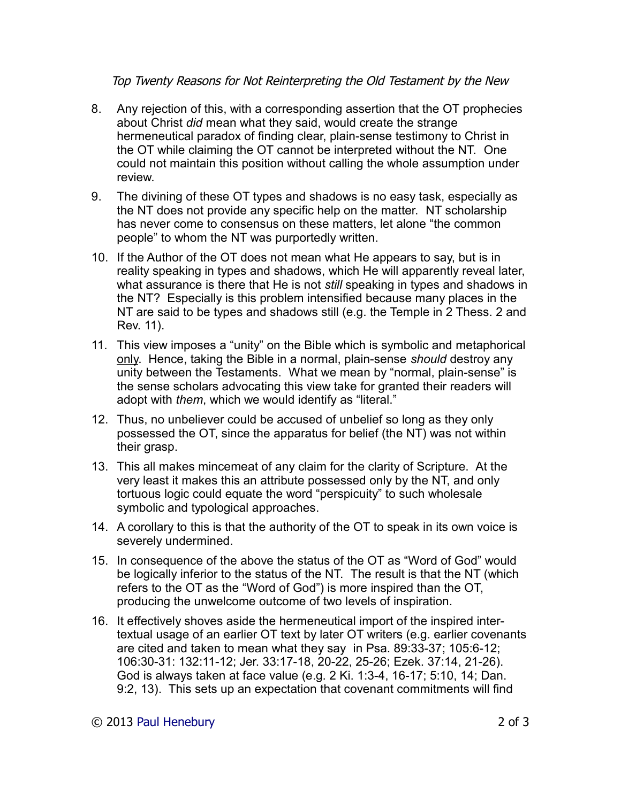## Top Twenty Reasons for Not Reinterpreting the Old Testament by the New

- 8. Any rejection of this, with a corresponding assertion that the OT prophecies about Christ *did* mean what they said, would create the strange hermeneutical paradox of finding clear, plain-sense testimony to Christ in the OT while claiming the OT cannot be interpreted without the NT. One could not maintain this position without calling the whole assumption under review.
- 9. The divining of these OT types and shadows is no easy task, especially as the NT does not provide any specific help on the matter. NT scholarship has never come to consensus on these matters, let alone "the common people" to whom the NT was purportedly written.
- 10. If the Author of the OT does not mean what He appears to say, but is in reality speaking in types and shadows, which He will apparently reveal later, what assurance is there that He is not *still* speaking in types and shadows in the NT? Especially is this problem intensified because many places in the NT are said to be types and shadows still (e.g. the Temple in 2 Thess. 2 and Rev. 11).
- 11. This view imposes a "unity" on the Bible which is symbolic and metaphorical only. Hence, taking the Bible in a normal, plain-sense *should* destroy any unity between the Testaments. What we mean by "normal, plain-sense" is the sense scholars advocating this view take for granted their readers will adopt with *them*, which we would identify as "literal."
- 12. Thus, no unbeliever could be accused of unbelief so long as they only possessed the OT, since the apparatus for belief (the NT) was not within their grasp.
- 13. This all makes mincemeat of any claim for the clarity of Scripture. At the very least it makes this an attribute possessed only by the NT, and only tortuous logic could equate the word "perspicuity" to such wholesale symbolic and typological approaches.
- 14. A corollary to this is that the authority of the OT to speak in its own voice is severely undermined.
- 15. In consequence of the above the status of the OT as "Word of God" would be logically inferior to the status of the NT. The result is that the NT (which refers to the OT as the "Word of God") is more inspired than the OT, producing the unwelcome outcome of two levels of inspiration.
- 16. It effectively shoves aside the hermeneutical import of the inspired intertextual usage of an earlier OT text by later OT writers (e.g. earlier covenants are cited and taken to mean what they say in Psa. 89:33-37; 105:6-12; 106:30-31: 132:11-12; Jer. 33:17-18, 20-22, 25-26; Ezek. 37:14, 21-26). God is always taken at face value (e.g. 2 Ki. 1:3-4, 16-17; 5:10, 14; Dan. 9:2, 13). This sets up an expectation that covenant commitments will find